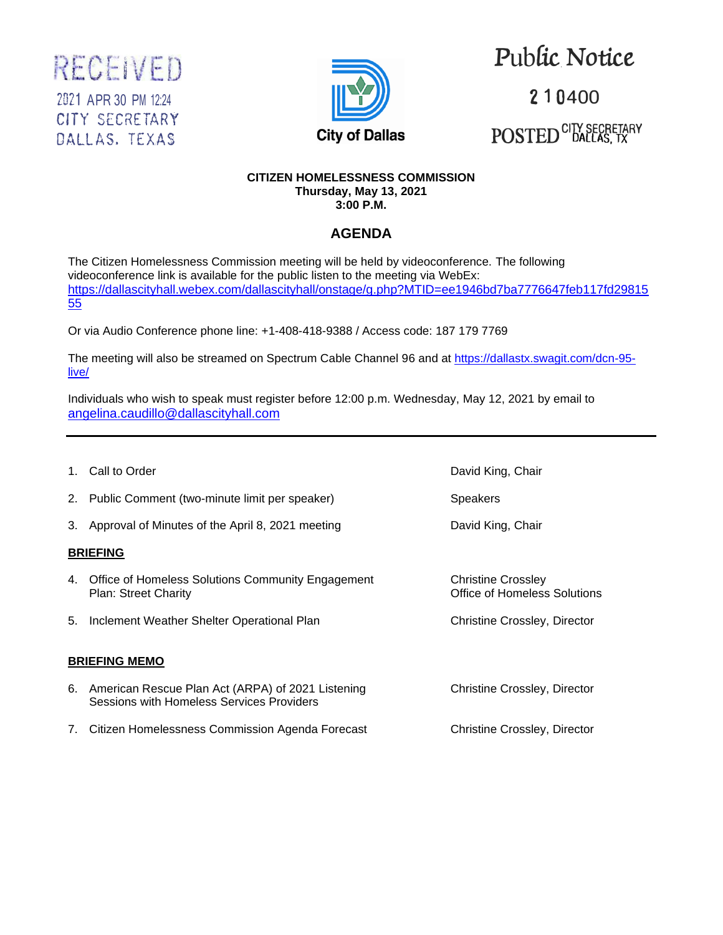



# Public.Notice

210400  $\mathrm{POSTED}^{\text{CITY SECRETARY}}$ 

#### **CITIZEN HOMELESSNESS COMMISSION Thursday, May 13, 2021 3:00 P.M.**

## **AGENDA**

The Citizen Homelessness Commission meeting will be held by videoconference. The following videoconference link is available for the public listen to the meeting via WebEx: [https://dallascityhall.webex.com/dallascityhall/onstage/g.php?MTID=ee1946bd7ba7776647feb117fd29815](https://dallascityhall.webex.com/dallascityhall/onstage/g.php?MTID=ee1946bd7ba7776647feb117fd2981555) [55](https://dallascityhall.webex.com/dallascityhall/onstage/g.php?MTID=ee1946bd7ba7776647feb117fd2981555)

Or via Audio Conference phone line: +1-408-418-9388 / Access code: 187 179 7769

The meeting will also be streamed on Spectrum Cable Channel 96 and at [https://dallastx.swagit.com/dcn-95](https://dallastx.swagit.com/dcn-95-live/) [live/](https://dallastx.swagit.com/dcn-95-live/)

Individuals who wish to speak must register before 12:00 p.m. Wednesday, May 12, 2021 by email to [angelina.caudillo@dallascityhall.com](mailto:angelina.caudillo@dallascityhall.com)

1. Call to Order David King, Chair 2. Public Comment (two-minute limit per speaker) Speakers 3. Approval of Minutes of the April 8, 2021 meeting **David King, Chair BRIEFING** 4. Office of Homeless Solutions Community Engagement Christine Crossley Plan: Street Charity **Charity** Charity Charity Charity Charity Charity Charity Charity Charity Charity Charity Charity Charity Charity Charity Charity Charity Charity Charity Charity Charity Charity Charity Charity Charity 5. Inclement Weather Shelter Operational Plan Christine Crossley, Director **BRIEFING MEMO** 6. American Rescue Plan Act (ARPA) of 2021 Listening Christine Crossley, Director Sessions with Homeless Services Providers 7. Citizen Homelessness Commission Agenda Forecast Christine Crossley, Director